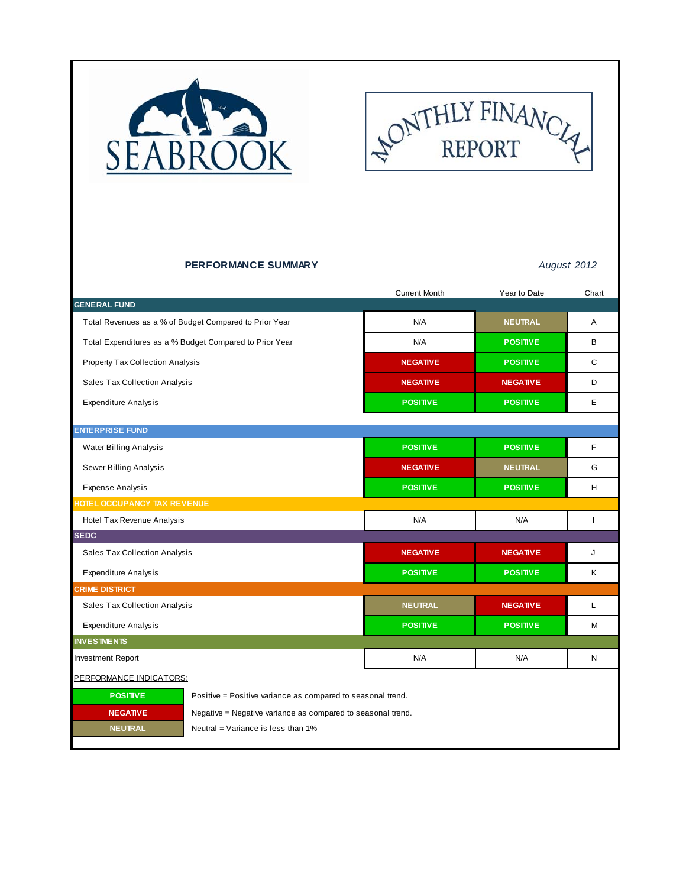



### **PERFORMANCE SUMMARY** *August 2012*

|                                                                                | <b>Current Month</b> | Year to Date    | Chart        |
|--------------------------------------------------------------------------------|----------------------|-----------------|--------------|
| <b>GENERAL FUND</b>                                                            |                      |                 |              |
| Total Revenues as a % of Budget Compared to Prior Year                         | N/A                  | <b>NEUTRAL</b>  | A            |
| Total Expenditures as a % Budget Compared to Prior Year                        | N/A                  | <b>POSITIVE</b> | В            |
| Property Tax Collection Analysis                                               | <b>NEGATIVE</b>      | <b>POSITIVE</b> | $\mathsf{C}$ |
| Sales Tax Collection Analysis                                                  | <b>NEGATIVE</b>      | <b>NEGATIVE</b> | D            |
| <b>Expenditure Analysis</b>                                                    | <b>POSITIVE</b>      | <b>POSITIVE</b> | E            |
| <b>ENTERPRISE FUND</b>                                                         |                      |                 |              |
| Water Billing Analysis                                                         | <b>POSITIVE</b>      | <b>POSITIVE</b> | F            |
| Sewer Billing Analysis                                                         | <b>NEGATIVE</b>      | <b>NEUTRAL</b>  | G            |
| <b>Expense Analysis</b>                                                        | <b>POSITIVE</b>      | <b>POSITIVE</b> | н            |
| HOTEL OCCUPANCY TAX REVENUE                                                    |                      |                 |              |
| Hotel Tax Revenue Analysis                                                     | N/A                  | N/A             | ı            |
| <b>SEDC</b>                                                                    |                      |                 |              |
| Sales Tax Collection Analysis                                                  | <b>NEGATIVE</b>      | <b>NEGATIVE</b> | J            |
| <b>Expenditure Analysis</b>                                                    | <b>POSITIVE</b>      | <b>POSITIVE</b> | Κ            |
| <b>CRIME DISTRICT</b>                                                          |                      |                 |              |
| Sales Tax Collection Analysis                                                  | <b>NEUTRAL</b>       | <b>NEGATIVE</b> | Г            |
| <b>Expenditure Analysis</b>                                                    | <b>POSITIVE</b>      | <b>POSITIVE</b> | М            |
| <b>INVESTMENTS</b>                                                             |                      |                 |              |
| <b>Investment Report</b>                                                       | N/A                  | N/A             | Ν            |
| PERFORMANCE INDICATORS:                                                        |                      |                 |              |
| <b>POSITIVE</b><br>Positive = Positive variance as compared to seasonal trend. |                      |                 |              |
| <b>NEGATIVE</b><br>Negative = Negative variance as compared to seasonal trend. |                      |                 |              |
| <b>NEUTRAL</b><br>Neutral = Variance is less than 1%                           |                      |                 |              |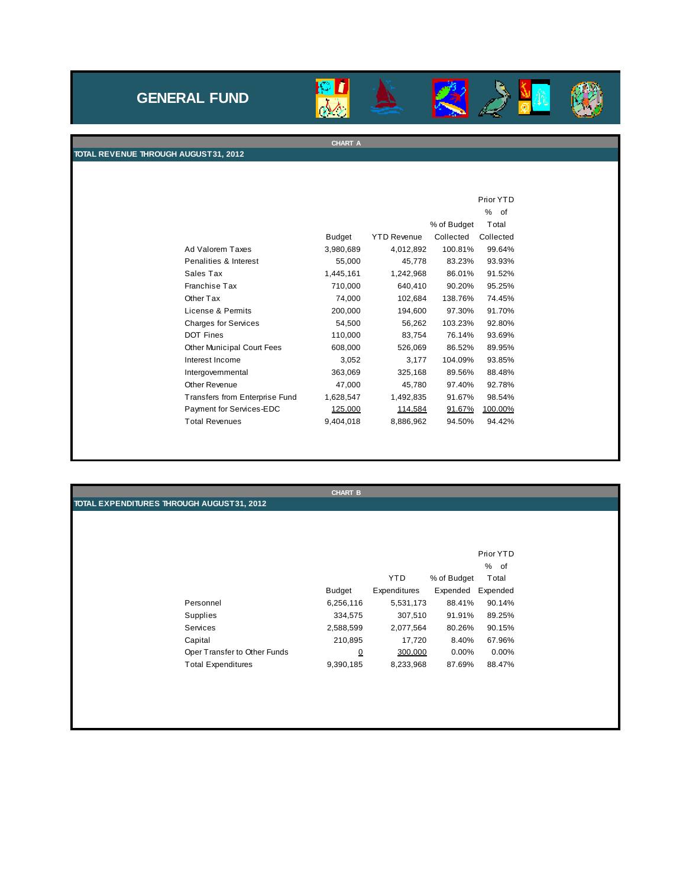## **GENERAL FUND**



 $\sum_{n=1}^{\infty}$ 

 $\mathbb{A}% _{0}\left[ \left[ \left[ T_{0},T_{1}\right] ,T_{1}\right] \right] =\mathbb{Z}^{3}\times \mathbb{Z}^{3}$ 

M

《

**CHART A**

#### **TOTAL REVENUE THROUGH AUGUST 31, 2012**

|                                |               |                    |             | Prior YTD |
|--------------------------------|---------------|--------------------|-------------|-----------|
|                                |               |                    |             | %<br>- of |
|                                |               |                    | % of Budget | Total     |
|                                | <b>Budget</b> | <b>YTD Revenue</b> | Collected   | Collected |
| Ad Valorem Taxes               | 3,980,689     | 4,012,892          | 100.81%     | 99.64%    |
| Penalities & Interest          | 55,000        | 45,778             | 83.23%      | 93.93%    |
| Sales Tax                      | 1,445,161     | 1,242,968          | 86.01%      | 91.52%    |
| Franchise Tax                  | 710,000       | 640,410            | 90.20%      | 95.25%    |
| Other Tax                      | 74,000        | 102,684            | 138.76%     | 74.45%    |
| License & Permits              | 200,000       | 194,600            | 97.30%      | 91.70%    |
| <b>Charges for Services</b>    | 54,500        | 56,262             | 103.23%     | 92.80%    |
| <b>DOT Fines</b>               | 110,000       | 83,754             | 76.14%      | 93.69%    |
| Other Municipal Court Fees     | 608,000       | 526,069            | 86.52%      | 89.95%    |
| Interest Income                | 3,052         | 3,177              | 104.09%     | 93.85%    |
| Intergovernmental              | 363,069       | 325,168            | 89.56%      | 88.48%    |
| Other Revenue                  | 47,000        | 45,780             | 97.40%      | 92.78%    |
| Transfers from Enterprise Fund | 1,628,547     | 1,492,835          | 91.67%      | 98.54%    |
| Payment for Services-EDC       | 125.000       | 114.584            | 91.67%      | 100.00%   |
| <b>Total Revenues</b>          | 9,404,018     | 8,886,962          | 94.50%      | 94.42%    |

|                                            |                              | <b>CHART B</b> |              |             |           |
|--------------------------------------------|------------------------------|----------------|--------------|-------------|-----------|
| TOTAL EXPENDITURES THROUGH AUGUST 31, 2012 |                              |                |              |             |           |
|                                            |                              |                |              |             |           |
|                                            |                              |                |              |             |           |
|                                            |                              |                |              |             |           |
|                                            |                              |                |              |             | Prior YTD |
|                                            |                              |                |              |             | % of      |
|                                            |                              |                | <b>YTD</b>   | % of Budget | Total     |
|                                            |                              | <b>Budget</b>  | Expenditures | Expended    | Expended  |
|                                            | Personnel                    | 6,256,116      | 5,531,173    | 88.41%      | 90.14%    |
|                                            | Supplies                     | 334,575        | 307,510      | 91.91%      | 89.25%    |
|                                            | Services                     | 2,588,599      | 2,077,564    | 80.26%      | 90.15%    |
|                                            | Capital                      | 210,895        | 17,720       | 8.40%       | 67.96%    |
|                                            | Oper Transfer to Other Funds | $\Omega$       | 300.000      | 0.00%       | 0.00%     |
|                                            | <b>Total Expenditures</b>    | 9,390,185      | 8,233,968    | 87.69%      | 88.47%    |
|                                            |                              |                |              |             |           |
|                                            |                              |                |              |             |           |
|                                            |                              |                |              |             |           |
|                                            |                              |                |              |             |           |
|                                            |                              |                |              |             |           |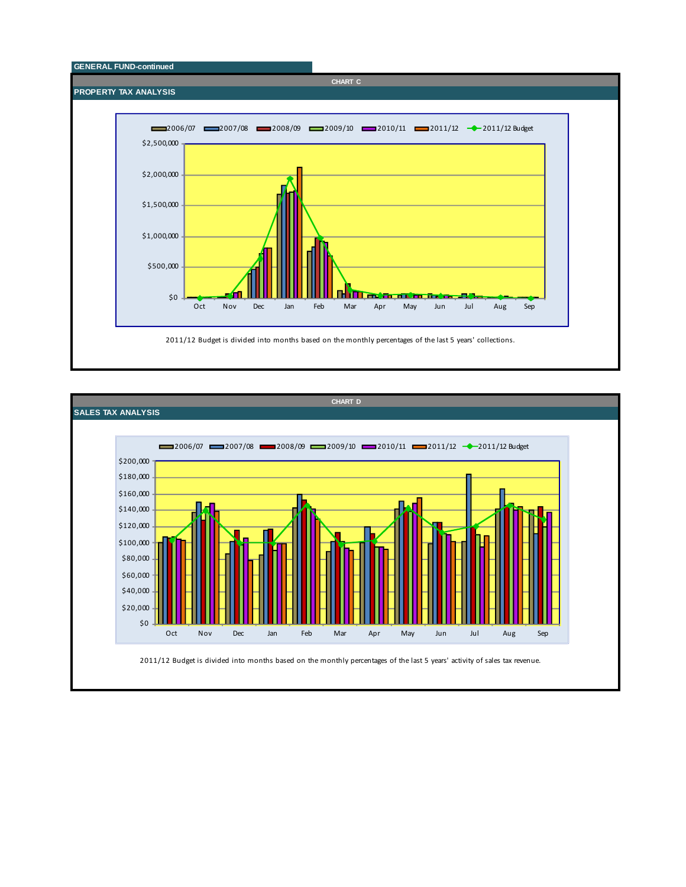

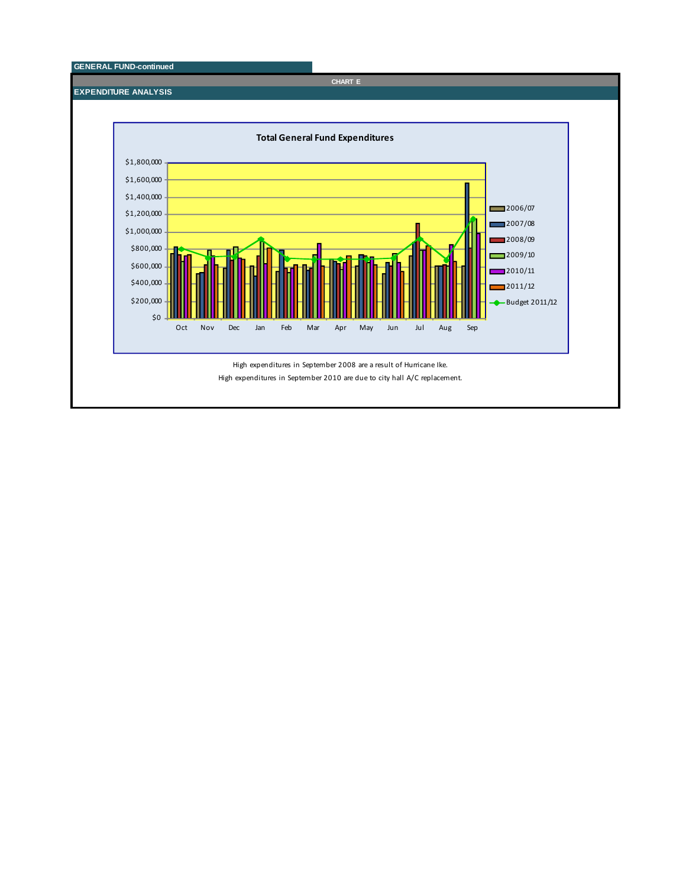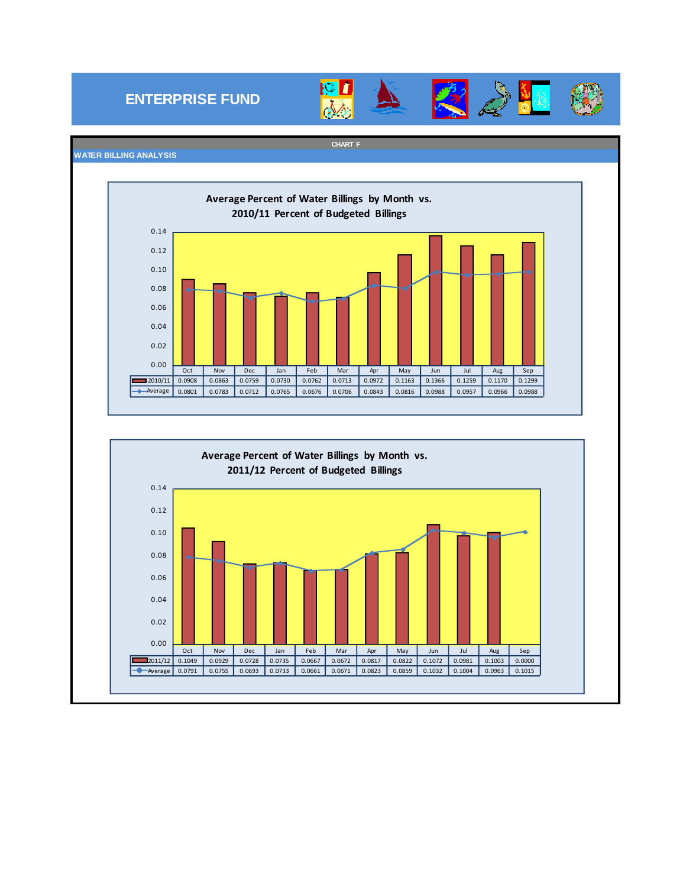## **ENTERPRISE FUND**



**CHART F**





#### **WATER BILLING ANALYSIS**

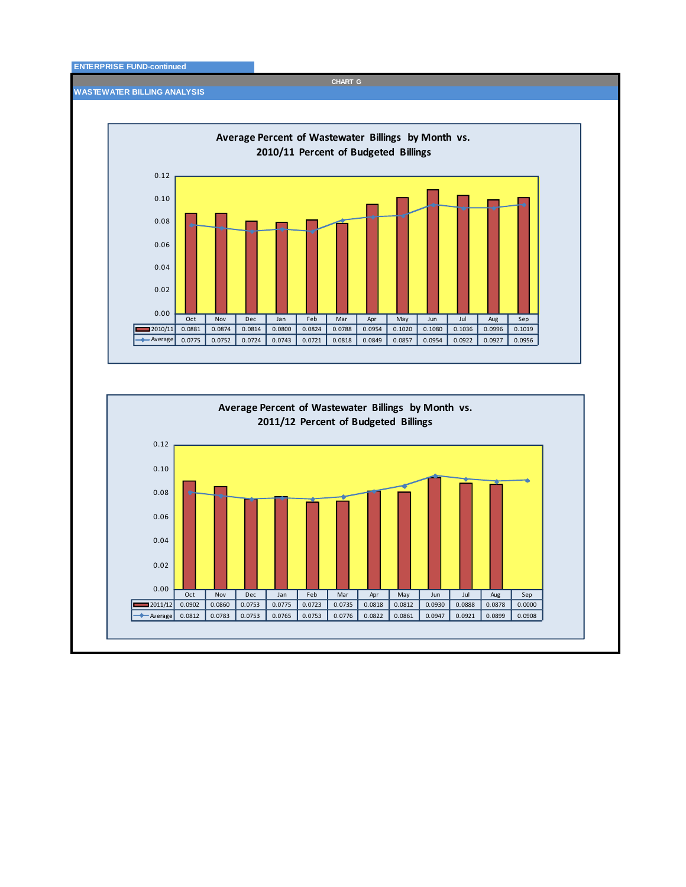#### **ENTERPRISE FUND-continued**

**WASTEWATER BILLING ANALYSIS**

Oct Nov Dec Jan Feb Mar Apr May Jun Jul Aug Sep 2010/11 0.0881 0.0874 0.0814 0.0800 0.0824 0.0788 0.0954 0.1020 0.1080 0.1036 0.0996 0.1019 Average 0.0775 0.0752 0.0724 0.0743 0.0721 0.0818 0.0849 0.0857 0.0954 0.0922 0.0927 0.0956 0.00 0.02 0.04 0.06 0.08 0.10 0.12 **Average Percent of Wastewater Billings by Month vs. 2010/11 Percent of Budgeted Billings**



**CHART G**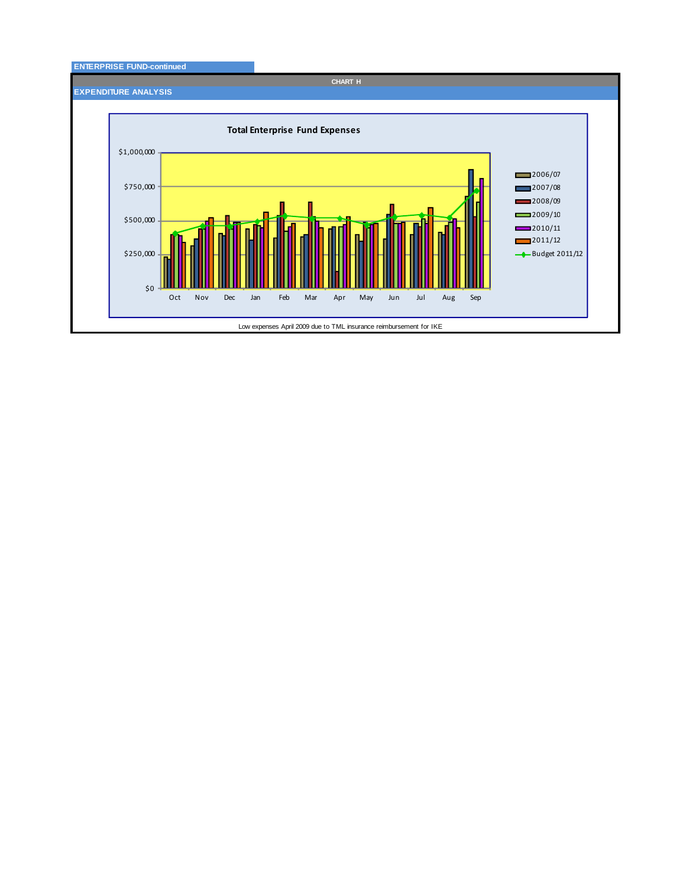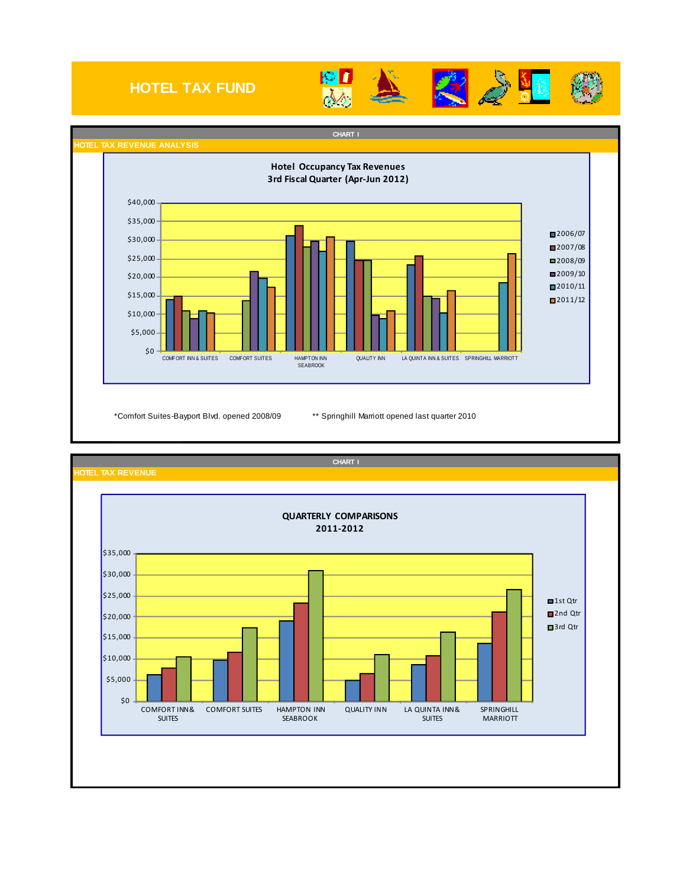## **HOTEL TAX FUND**









\$0 \$5,000 \$10,000  $$15,000$  $$20,000$  $$25,000$ \$30,000 \$35,000 COMFORT INN& **SUITES** COMFORT SUITES HAMPTON INN SEABROOK QUALITY INN LA QUINTA INN& SUITES **SPRINGHILL** MARRIOTT ■1st Qtr 2nd Qtr ■3rd Qtr **QUARTERLY COMPARISONS 2011‐2012**

**CHART I**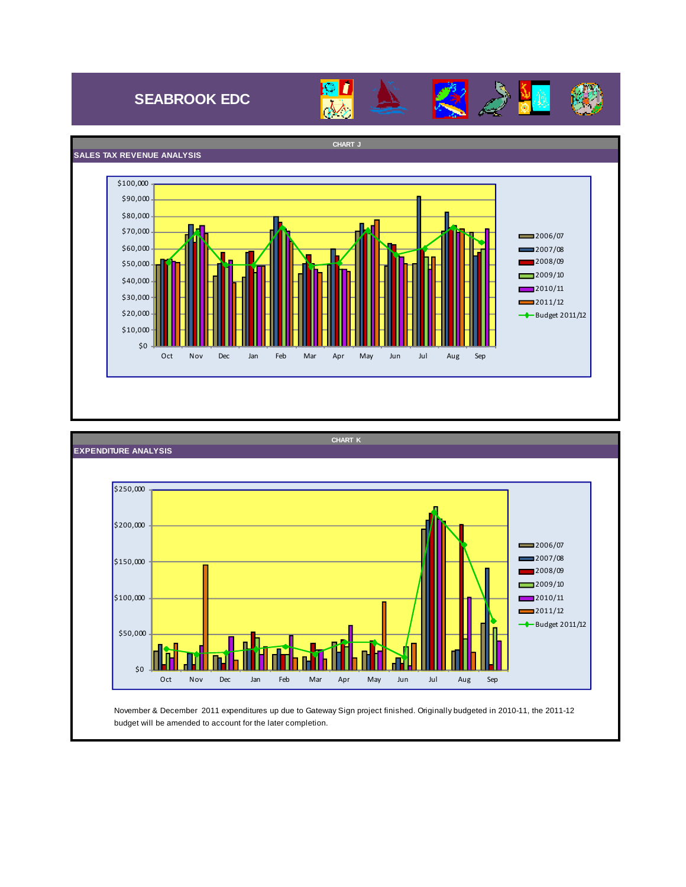## **SEABROOK EDC**







budget will be amended to account for the later completion.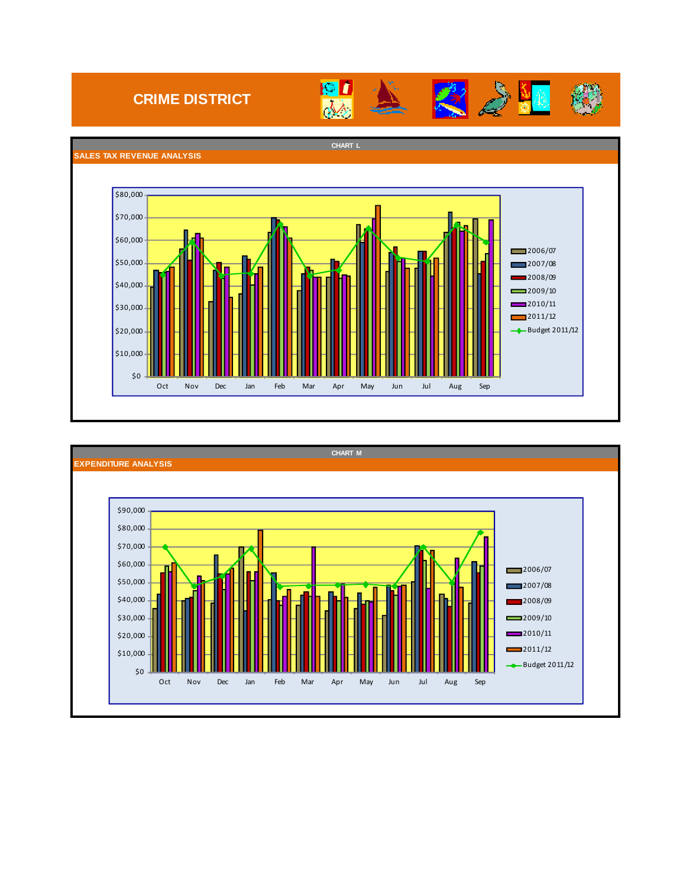## **CRIME DISTRICT**





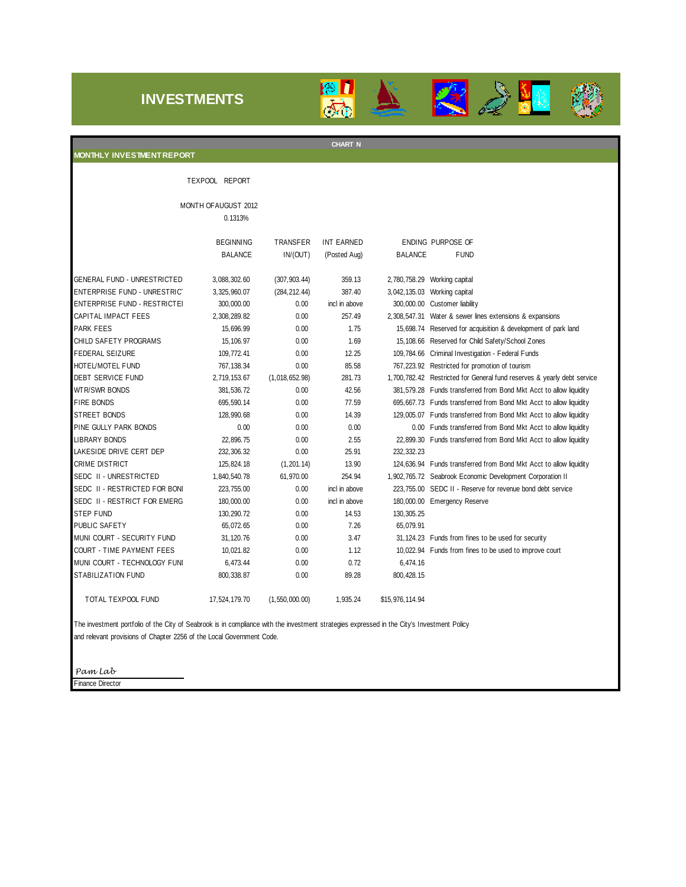### **INVESTMENTS**





STEP FUND 130,290.72 0.00 14.53 130,305.25 PUBLIC SAFETY 65,079.91 65,072.65 0.00 7.26 65,079.91 MUNI COURT - SECURITY FUND 31,120.76 0.00 3.47 31,124.23 Funds from fines to be used for security COURT - TIME PAYMENT FEES 10,021.82 0.00 1.12 10,022.94 Funds from fines to be used to improve court MUNI COURT - TECHNOLOGY FUNI 6,473.44 0.00 0.72 6,474.16 STABILIZATION FUND 800,338.87 0.00 89.28 800,428.15 TOTAL TEXPOOL FUND 17,524,179.70 (1,550,000.00) 1,935.24 \$15,976,114.94

The investment portfolio of the City of Seabrook is in compliance with the investment strategies expressed in the City's Investment Policy and relevant provisions of Chapter 2256 of the Local Government Code.

*Pam Lab*

Finance Director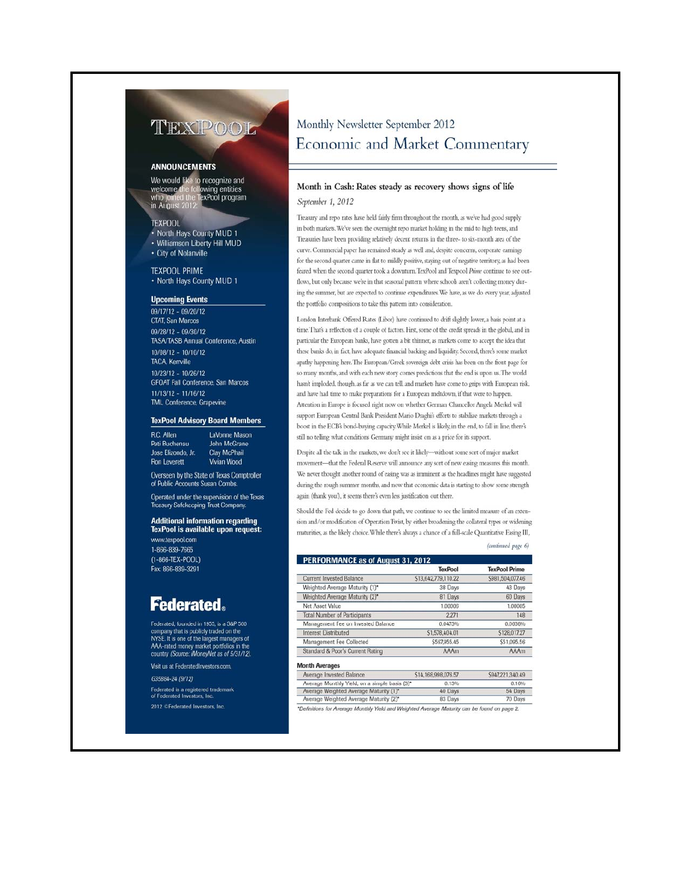## TEXPOOL

#### **ANNOUNCEMENTS**

We would like to recognize and lowing entities<br>TexPool program welcome who join<br>in Augu

#### **TEXPOOL**

• North Hays County MUD 1

• Williamson Liberty Hill MUD • City of Nolanville

**TEXPOOL PRIME** • North Hays County MUD 1

#### **Upcoming Events**

 $09/17/12 - 09/20/12$ **CTAT, San Marcos** 09/28/12 - 09/30/12 TASA/TASB Annual Conference, Austin 10/08/12 - 10/10/12 **TACA, Kerrville**  $10/23/12 - 10/26/12$ **GFOAT Fall Conference, San Marcos**  $11/13/12 - 11/16/12$ **TML Conference, Grapevine** 

#### **TexPool Advisory Board Members**

R.C. Allen LaVonne Mason Pati Buchenau John McGrane Jose Elizondo, Jr. **Clay McPhail Ron Leverett** 

Vivian Wood Overseen by the State of Texas Comptroller

Operated under the supervision of the Texas asury Safekeeping Trust Company

of Public Accounts Susan Combs

**Additional information regarding** TexPool is available upon request:

www.texpool.com 1-866-839-7665  $(1-866-TEX-POOL)$ Fax: 866-839-3291

## **Federated.**

Federated, founded in 1955, is a S&P 500 company that is publicly traded on the<br>NYSE. It is one of the largest managers of<br>AAA-rated money market portfolios in the<br>country (Source: iMoneyNet as of 5/31/12).

Visit us at FederatedInvestors.com. G35884-24 (9/12) Federated is a registered trademark<br>of Federated Investors, Inc. 2012 CFederated Investors, Inc.

## Monthly Newsletter September 2012 Economic and Market Commentary

#### Month in Cash: Rates steady as recovery shows signs of life September 1, 2012

Treasury and repo rates have held fairly firm throughout the month, as we've had good supply in both markets. We've seen the overnight repo market holding in the mid to high teens, and Treasuries have been providing relatively decent returns in the three- to six-month area of the curve. Commercial paper has remained steady as well and, despite concerns, corporate earnings for the second quarter came in flat to mildly positive, staying out of negative territory, as had been feared when the second quarter took a downturn. TexPool and Texpool Prime continue to see outflows, but only because we're in that seasonal pattern where schools aren't collecting money during the summer, but are expected to continue expenditures. We have, as we do every year, adjusted the portfolio compositions to take this pattern into consideration.

London Interbank Offered Rates (Libor) have continued to drift slightly lower, a basis point at a time. That's a reflection of a couple of factors. First, some of the credit spreads in the global, and in particular the European banks, have gotten a bit thinner, as markets come to accept the idea that these banks do, in fact, have adequate financial backing and liquidity. Second, there's some market apathy happening here. The European/Greek sovereign debt crisis has been on the front page for so many months, and with each new story comes predictions that the end is upon us. The world hasn't imploded, though, as far as we can tell, and markets have come to grips with European risk, and have had time to make preparations for a European meltdown, if that were to happen. Attention in Europe is focused right now on whether German Chancellor Angela Merkel will support European Central Bank President Mario Draghi's efforts to stabilize markets through a boost in the ECB's bond-buying capacity. While Merkel is likely, in the end, to fall in line, there's still no telling what conditions Germany might insist on as a price for its support.

Despite all the talk in the markets, we don't see it likely-without some sort of major market movement-that the Federal Reserve will announce any sort of new easing measures this month. We never thought another round of easing was as imminent as the headlines might have suggested during the rough summer months, and now that economic data is starting to show some strength again (thank you!), it seems there's even less justification out there.

Should the Fed decide to go down that path, we continue to see the limited measure of an extension and/or modification of Operation Twist, by either broadening the collateral types or widening maturities, as the likely choice. While there's always a chance of a full-scale Quantitative Easing III,

(continued page 6)

|                                     | <b>TexPool</b>      | <b>TexPool Prime</b> |
|-------------------------------------|---------------------|----------------------|
| <b>Current Invested Balance</b>     | \$13,642,779,110.22 | S981,504,077.46      |
| Weighted Average Maturity (1)*      | 38 Days             | 43 Days              |
| Weighted Average Maturity (2)*      | 81 Days             | 60 Days              |
| Net Asset Value                     | 1.00006             | 1.00005              |
| <b>Total Number of Participants</b> | 2.271               | 148                  |
| Management Fee on Invested Balance  | 0.0473%             | 0.0638%              |
| Interest Distributed                | \$1,578,404.01      | \$128,017.27         |
| Management Fee Collected            | \$567,955.45        | \$51,095.56          |
| Standard & Poor's Current Rating    | AAAm                | AAAm                 |

#### **Month Averages**

| Average Invested Balance                      | \$14,168,998,076.57 | \$947.221.340.49 |
|-----------------------------------------------|---------------------|------------------|
| Average Monthly Yield, on a simple basis (3)* | 0.13%               | 0.16%            |
| Average Weighted Average Maturity (1)*        | 40 Days             | 54 Days          |
| Average Weighted Average Maturity (2)*        | 83 Days             | 70 Days          |

\*Definitions for Average Monthly Yield and Weighted Average Maturity can be found on page 2.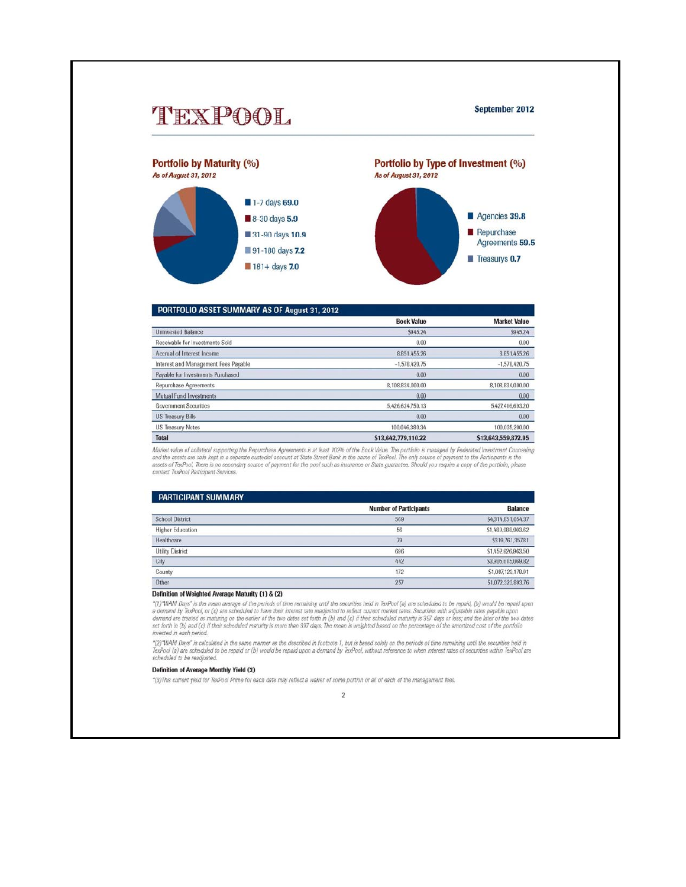

|                                      | <b>Book Value</b>   | <b>Market Value</b> |
|--------------------------------------|---------------------|---------------------|
| <b>Uninvested Balance</b>            | S945.24             | \$945.24            |
| Receivable for Investments Sold      | 0.00                | 0.00                |
| Accrual of Interest Income           | 8.851.455.26        | 8.851.455.26        |
| Interest and Management Fees Payable | $-1.578.420.75$     | $-1.578.420.75$     |
| Pavable for Investments Purchased    | 0.00                | 0.00                |
| <b>Repurchase Agreements</b>         | 8,108,834,000.00    | 8.108.834.000.00    |
| Mutual Fund Investments              | 0.00                | 0.00                |
| <b>Government Securities</b>         | 5.426.624.750.13    | 5.427.416.693.20    |
| <b>US Treasury Bills</b>             | 0.00                | 0.00                |
| <b>US Treasury Notes</b>             | 100.046.380.34      | 100.035.200.00      |
| <b>Total</b>                         | \$13,642,779,110.22 | \$13,643,559,872.95 |

.<br>Market value of collateral supporting the Repurchase Agreements is at least 102% of the Book Value. The portfolio is managed by Federated Investment Counseling<br>and the assets are safe kept in a separate custodial account contact TexPool Participant Services.

| <b>PARTICIPANT SUMMARY</b> |                               |                    |
|----------------------------|-------------------------------|--------------------|
|                            | <b>Number of Participants</b> | <b>Balance</b>     |
| <b>School District</b>     | 569                           | S4,314,851,054.37  |
| <b>Higher Education</b>    | 56                            | \$1,489,988,903.62 |
| Healthcare                 | 79                            | \$319,761,357.81   |
| <b>Utility District</b>    | 696                           | \$1,452,926,963.50 |
| City                       | 442                           | \$3,905,615,069.82 |
| County                     | 172                           | \$1.087.123.178.91 |
| Other                      | 257                           | \$1,072,323,893.76 |

#### Definition of Weighted Average Maturity (1) & (2)

"(1)"WAM Days" is the mean average of the periods of time remaining until the securities held in TexPool (a) are scheduled to be repaid, (b) would be repaid upon a demand by TexPool, or (c) are scheduled to have their int invested in each period.

"(2)"WAM Days" is calculated in the same manner as the described in footnote 1, but is based solely on the periods of time remaining until the securities held in<br>TexPool (a) are scheduled to be repaid or (b) would be repai scheduled to be readjusted.

#### Definition of Average Monthly Yield (3)

\*(3) This current yield for TexPool Prime for each date may reflect a waiver of some portion or all of each of the management fees.

 $\overline{2}$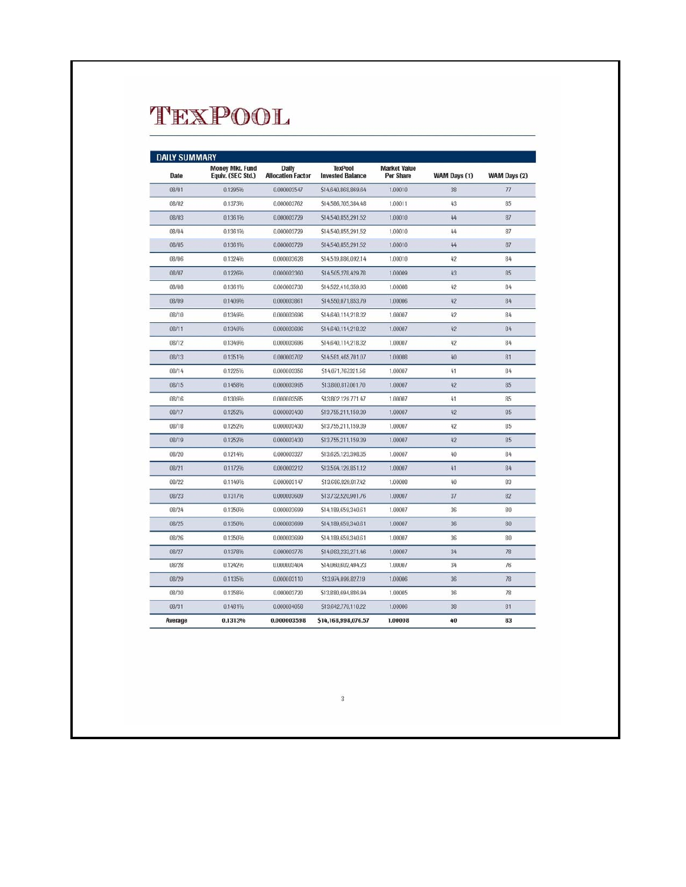# TEXPOOL

|         | <b>Money Mkt. Fund</b> | Daily                    | <b>TexPool</b>          | <b>Market Value</b> |              |              |
|---------|------------------------|--------------------------|-------------------------|---------------------|--------------|--------------|
| Date    | Equiv. (SEC Std.)      | <b>Allocation Factor</b> | <b>Invested Balance</b> | <b>Per Share</b>    | WAM Days (1) | WAM Days (2) |
| 08/01   | 0.1295%                | 0.000003547              | \$14,640,868,869.64     | 1.00010             | 38           | 77           |
| 08/02   | 0.1373%                | 0.000003762              | \$14,586,705,384.48     | 1.00011             | 43           | 85           |
| 08/03   | 0.1361%                | 0.000003729              | \$14,540,855,291,52     | 1,00010             | 44           | 87           |
| 08/04   | 0.1361%                | 0.000003729              | \$14,540,855,291.52     | 1.00010             | 44           | 87           |
| 08/05   | 0.1361%                | 0.000003729              | \$14,540,855,291,52     | 1,00010             | 44           | 87           |
| 08/06   | 0.1324%                | 0.000003628              | \$14,519,886,092.14     | 1,00010             | 42           | 84           |
| 08/07   | 0.1226%                | 0.000003360              | \$14,505,278,429.78     | 1.00009             | 43           | 85           |
| 08/08   | 0.1361%                | 0.000003730              | \$14,522,416,359.93     | 1.00008             | 42           | 84           |
| 08/09   | 0.1409%                | 0.000003861              | S14,550,071,853.79      | 1.00006             | 42           | 84           |
| 08/10   | 0.1349%                | 0.000003696              | S14,640.114.218.32      | 1.00007             | 42           | 84           |
| 08/11   | 0.1349%                | 0.000003696              | \$14,640,114,218.32     | 1.00007             | 42           | 84           |
| 08/12   | 0.1349%                | 0.000003696              | S14.640.114.218.32      | 1.00007             | 42           | 84           |
| 08/13   | 0.1351%                | 0.000003702              | \$14,581,465,701.07     | 1.00008             | 40           | 81           |
| 08/14   | 0.1225%                | 0.000003356              | \$14.071.767.321.56     | 1.00007             | 41           | 84           |
| 08/15   | 0.1458%                | 0.000003995              | \$13,800,817,001.70     | 1.00007             | 42           | 85           |
| 08/16   | 0.1309%                | 0.000003585              | \$13,802,129,771.47     | 1.00007             | 41           | 85           |
| 08/17   | 0.1252%                | 0.000003430              | \$13,755,211,159.39     | 1.00007             | 42           | 85           |
| 08/18   | 0.1252%                | 0.000003430              | \$13,755,211,159.39     | 1.00007             | 42           | 85           |
| 08/19   | 0.1252%                | 0.000003430              | \$13,755.211.159.39     | 1.00007             | 42           | 85           |
| 08/20   | 0.1214%                | 0.000003327              | \$13,625,123,398.35     | 1.00007             | 40           | 84           |
| 08/21   | 0.1172%                | 0.000003212              | \$13,594,129,851.12     | 1.00007             | 41           | 84           |
| 08/22   | 0.1149%                | 0.000003147              | \$13,686,829,817.42     | 1.00008             | 40           | 83           |
| 08/23   | 0.1317%                | 0.000003609              | \$13,732,520,901.76     | 1.00007             | 37           | 82           |
| 08/24   | 0.1350%                | 0.000003699              | \$14,189,659,340.61     | 1.00007             | 36           | 80           |
| 08/25   | 0.1350%                | 0.000003699              | \$14,189,659,340.61     | 1.00007             | 36           | 80           |
| 08/26   | 0.1350%                | 0.000003699              | \$14,189,659,340.61     | 1.00007             | 36           | 80           |
| 08/27   | 0.1378%                | 0.000003776              | \$14,083,233,271.46     | 1.00007             | 34           | 78           |
| 08/28   | 0.1242%                | 0.000003404              | \$14,060,602,494.23     | 1.00007             | 34           | 76           |
| 08/29   | 0.1135%                | 0.000003110              | S13.974.099.827.19      | 1.00006             | 36           | 78           |
| 08/30   | 0.1358%                | 0.000003720              | \$13,880,694,886.94     | 1.00005             | 36           | 78           |
| 08/31   | 0.1481%                | 0.000004058              | S13.642.779.110.22      | 1.00006             | 38           | 81           |
| Average | 0.1313%                | 0.000003598              | \$14,168,998,076.57     | 1,00008             | 40           | 83           |

 $\sqrt{3}$